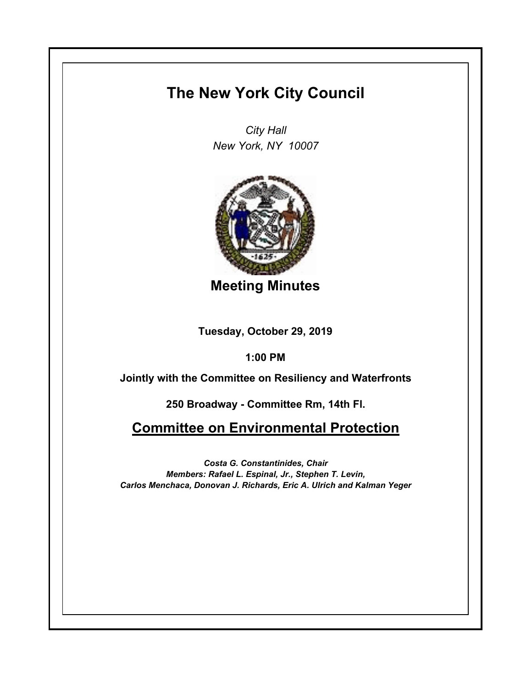## **The New York City Council**

*City Hall New York, NY 10007*



**Meeting Minutes**

**Tuesday, October 29, 2019**

**1:00 PM**

**Jointly with the Committee on Resiliency and Waterfronts**

**250 Broadway - Committee Rm, 14th Fl.**

## **Committee on Environmental Protection**

*Costa G. Constantinides, Chair Members: Rafael L. Espinal, Jr., Stephen T. Levin, Carlos Menchaca, Donovan J. Richards, Eric A. Ulrich and Kalman Yeger*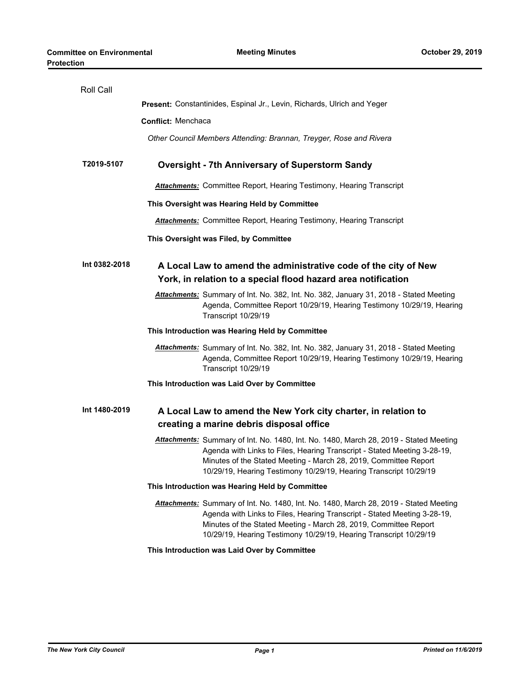| Roll Call     |                                                                                                                                                                                                                                                                                                            |  |
|---------------|------------------------------------------------------------------------------------------------------------------------------------------------------------------------------------------------------------------------------------------------------------------------------------------------------------|--|
|               | <b>Present: Constantinides, Espinal Jr., Levin, Richards, Ulrich and Yeger</b>                                                                                                                                                                                                                             |  |
|               | <b>Conflict: Menchaca</b>                                                                                                                                                                                                                                                                                  |  |
|               | Other Council Members Attending: Brannan, Treyger, Rose and Rivera                                                                                                                                                                                                                                         |  |
| T2019-5107    | <b>Oversight - 7th Anniversary of Superstorm Sandy</b>                                                                                                                                                                                                                                                     |  |
|               | <b>Attachments:</b> Committee Report, Hearing Testimony, Hearing Transcript                                                                                                                                                                                                                                |  |
|               | This Oversight was Hearing Held by Committee                                                                                                                                                                                                                                                               |  |
|               | <b>Attachments:</b> Committee Report, Hearing Testimony, Hearing Transcript                                                                                                                                                                                                                                |  |
|               | This Oversight was Filed, by Committee                                                                                                                                                                                                                                                                     |  |
| Int 0382-2018 | A Local Law to amend the administrative code of the city of New<br>York, in relation to a special flood hazard area notification                                                                                                                                                                           |  |
|               | Attachments: Summary of Int. No. 382, Int. No. 382, January 31, 2018 - Stated Meeting<br>Agenda, Committee Report 10/29/19, Hearing Testimony 10/29/19, Hearing<br>Transcript 10/29/19                                                                                                                     |  |
|               | This Introduction was Hearing Held by Committee                                                                                                                                                                                                                                                            |  |
|               | Attachments: Summary of Int. No. 382, Int. No. 382, January 31, 2018 - Stated Meeting<br>Agenda, Committee Report 10/29/19, Hearing Testimony 10/29/19, Hearing<br>Transcript 10/29/19                                                                                                                     |  |
|               | This Introduction was Laid Over by Committee                                                                                                                                                                                                                                                               |  |
| Int 1480-2019 | A Local Law to amend the New York city charter, in relation to<br>creating a marine debris disposal office                                                                                                                                                                                                 |  |
|               | Attachments: Summary of Int. No. 1480, Int. No. 1480, March 28, 2019 - Stated Meeting<br>Agenda with Links to Files, Hearing Transcript - Stated Meeting 3-28-19,<br>Minutes of the Stated Meeting - March 28, 2019, Committee Report<br>10/29/19, Hearing Testimony 10/29/19, Hearing Transcript 10/29/19 |  |
|               | This Introduction was Hearing Held by Committee                                                                                                                                                                                                                                                            |  |
|               | Attachments: Summary of Int. No. 1480, Int. No. 1480, March 28, 2019 - Stated Meeting<br>Agenda with Links to Files, Hearing Transcript - Stated Meeting 3-28-19,<br>Minutes of the Stated Meeting - March 28, 2019, Committee Report<br>10/29/19, Hearing Testimony 10/29/19, Hearing Transcript 10/29/19 |  |

**This Introduction was Laid Over by Committee**